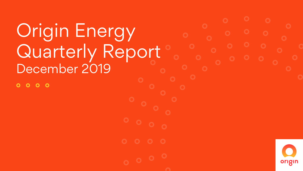# Origin Energy Quarterly Report December 2019

 $\overline{O}$   $\overline{O}$  $\bullet$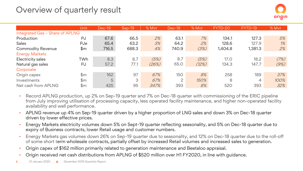### Overview of quarterly result

|                                 | Unit           | Dec-19 | $Sep-19$ | % Myt | Dec-18 | % Myt | FYTD-20 | FYTD-19 | % Mvt |
|---------------------------------|----------------|--------|----------|-------|--------|-------|---------|---------|-------|
| Integrated Gas - Share of APLNG |                |        |          |       |        |       |         |         |       |
| Production                      | PJ             | 67.6   | 66.5     | 2%    | 63.1   | 7%    | 134.1   | 127.3   | 5%    |
| Sales                           | PJe            | 65.4   | 63.2     | 3%    | 64.2   | 2%    | 128.6   | 127.9   | 1%    |
| <b>Commodity Revenue</b>        | \$m            | 716.5  | 688.3    | 4%    | 740.9  | (3%)  | 1,404.8 | 1,381.3 | 2%    |
| <b>Energy Markets</b>           |                |        |          |       |        |       |         |         |       |
| Electricity sales               | TWh            | 8.3    | 8.7      | (5%)  | 8.7    | (5%)  | 17.0    | 18.2    | (7%)  |
| Natural gas sales               | PJ             | 57.2   | 77.1     | (26%) | 65.0   | (12%) | 134.3   | 147.7   | (9%)  |
| Corporate                       |                |        |          |       |        |       |         |         |       |
| Origin capex                    | \$m            | 162    | 97       | 67%   | 150    | 8%    | 258     | 189     | 37%   |
| Investments                     | \$m\$          | 5      | 3        | 67%   | 2      | 150%  | 8       | 4       | 100%  |
| Net cash from APLNG             | $\mathsf{\$m}$ | 425    | 95       | 347%  | 393    | 8%    | 520     | 393     | 32%   |

- Record APLNG production, up 2% on Sep-19 quarter and 7% on Dec-18 quarter with commissioning of the ERIC pipeline from July improving utilisation of processing capacity, less operated facility maintenance, and higher non-operated facility availability and well performance.
- APLNG revenue up 4% on Sep-19 quarter driven by a higher proportion of LNG sales and down 3% on Dec-18 quarter driven by lower effective prices.
- Energy Markets electricity volumes down 5% on Sept-19 quarter reflecting seasonality, and 5% on Dec-18 quarter due to expiry of Business contracts, lower Retail usage and customer numbers.
- Energy Markets gas volumes down 26% on Sep-19 quarter due to seasonality, and 12% on Dec-18 quarter due to the roll-off of some short term wholesale contracts, partially offset by increased Retail volumes and increased sales to generation.
- Origin capex of \$162 million primarily related to generation maintenance and Beetaloo appraisal.
- Origin received net cash distributions from APLNG of \$520 million over H1 FY2020, in line with guidance.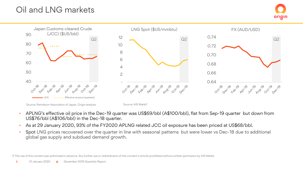### Oil and LNG markets





Source: Petroleum Association of Japan, Origin analysis Source: IHS Markit<sup>1</sup>

- APLNG's effective oil price in the Dec-19 quarter was US\$69/bbl (A\$100/bbl), flat from Sep-19 quarter but down from US\$76/bbl (A\$106/bbl) in the Dec-18 quarter.
- As at 29 January 2020, 93% of the FY2020 APLNG related JCC oil exposure has been priced at US\$68/bbl.
- Spot LNG prices recovered over the quarter in line with seasonal patterns but were lower vs Dec-18 due to additional global gas supply and subdued demand growth.

1) The use of this content was authorised in advance. Any further use or redistribution of this content is strictly prohibited without written permission by IHS Markit.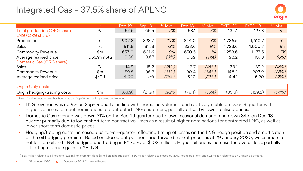### Integrated Gas – 37.5% share of APLNG



|                              | Unit              | Dec-19 | Sep-19 | % Myt | Dec-18 | % Myt | D-20<br>FΥ | $D-19$<br>FYT. | % Myt |
|------------------------------|-------------------|--------|--------|-------|--------|-------|------------|----------------|-------|
| Total production (ORG share) | PJ                | 67.6   | 66.5   | 2%    | 63.1   | 7%    | 134.1      | 127.3          | 5%    |
| LNG (ORG share)              |                   |        |        |       |        |       |            |                |       |
| Production                   | kt                | 907.8  | 828.7  | 10%   | 844.0  | 8%    | 1,736.5    | 1,610.7        | 8%    |
| Sales                        | kt                | 911.8  | 811.8  | 12%   | 838.6  | 9%    | 1,723.6    | 1,600.7        | 8%    |
| <b>Commodity Revenue</b>     | \$m               | 657.0  | 601.6  | 9%    | 650.5  | 1%    | 1,258.6    | 1,177.5        | 7%    |
| Average realised price       | US\$/mmbtu        | 9.38   | 9.67   | (3%)  | 10.59  | (11%) | 9.52       | 10.13          | (6%)  |
| Domestic Gas (ORG share)     |                   |        |        |       |        |       |            |                |       |
| Sales                        | PJ                | 14.9   | 18.2   | (18%) | 17.7   | (16%) | 33.1       | 39.2           | (16%) |
| <b>Commodity Revenue</b>     | \$m               | 59.5   | 86.7   | (31%) | 90.4   | (34%) | 146.2      | 203.9          | (28%) |
| Average realised price       | $\frac{1}{2}$ /GJ | 4.00   | 4.76   | (16%) | 5.10   | (22%) | 4.42       | 5.20           | (15%) |
|                              |                   |        |        |       |        |       |            |                |       |
| Origin Only costs            |                   |        |        |       |        |       |            |                |       |
| Origin hedging/trading costs | \$m               | (63.9) | (21.9) | 192%  | (78.1) | (18%) | (85.8)     | (129.2)        | (34%) |

Note: A minor restatement has been made to Sep-19 domestic gas sales and revenue

- LNG revenue was up 9% on Sep-19 quarter in line with increased volumes, and relatively stable on Dec-18 quarter with higher volumes to meet nominations of contracted LNG customers, partially offset by lower realised prices.
- Domestic Gas revenue was down 31% on the Sep-19 quarter due to lower seasonal demand, and down 34% on Dec-18 quarter primarily due to lower short term contract volumes as a result of higher nominations for contracted LNG, as well as lower short term domestic prices.
- Hedging/trading costs increased quarter-on-quarter reflecting timing of losses on the LNG hedge position and amortisation of the oil hedging premium. Based on closed out positions and forward market prices as at 29 January 2020, we estimate a net loss on oil and LNG hedging and trading in FY2020 of \$102 million<sup>1</sup>. Higher oil prices increase the overall loss, partially offsetting revenue gains in APLNG

1) \$20 million relating to oil hedging (\$28 million premiums less \$8 million in hedge gains); \$60 million relating to closed out LNG hedge positions; and \$22 million relating to LNG trading positions.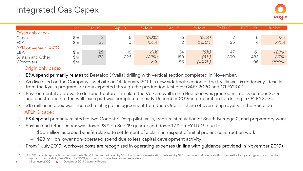|                                 | Unit | <b>Dec-19</b> | $Sen-19$                 | % Mvt | Dec-18 | % Myt     | FYTD-20                  | FYTD-19 | % Myt     |
|---------------------------------|------|---------------|--------------------------|-------|--------|-----------|--------------------------|---------|-----------|
| Origin only capex               |      |               |                          |       |        |           |                          |         |           |
| Capex                           | \$m  |               |                          | (60%) | 6      | (67%)     |                          | 6       | 17%       |
| E&A                             | \$m  | 25            | 10                       | 150%  |        | 1,150%    | 35                       |         | 775%      |
| APLNG capex <sup>1</sup> (100%) |      |               |                          |       |        |           |                          |         |           |
| E&A                             | \$m  | 29            | 18                       | 61%   | 34     | (15%)     | 47                       | 61      | (23%)     |
| Sustain and Other               | \$m  | 173           | 226                      | (23%) | 189    | (8%)      | 399                      | 482     | (17%)     |
| Workovers                       | \$m  |               | $\overline{\phantom{0}}$ | n/a   | 56     | $(100\%)$ | $\overline{\phantom{0}}$ | 96      | $(100\%)$ |

#### Origin only capex

- E&A spend primarily relates to Beetaloo (Kyalla) drilling with vertical section completed in November.
- As disclosed on the Company's website on 14 January 2019, a new sidetrack section of the Kyalla well is underway. Results from the Kyalla program are now expected through the production test over Q4FY2020 and Q1 FY2021.
- Environmental approval to drill and fracture stimulate the Velkerri well in the Beetaloo was granted in late December 2019 and construction of the well lease pad was completed in early December 2019 in preparation for drilling in Q4 FY2020.
- \$15 million in opex was incurred relating to an agreement to reduce Origin's share of overriding royalty in the Beetaloo APLNG capex
- E&A spend primarily related to two Condabri Deep pilot wells, fracture stimulation of South Burunga 2, and preparatory work.
- Sustain and Other capex was down 23% on Sep-19 quarter and down 17% on FYTD-19 due to:
	- ‒ \$50 million accrued benefit related to settlement of a claim in respect of initial project construction work
	- ‒ \$28 million lower non-operated spend due to less capital development activity
- From 1 July 2019, workover costs are recognised in operating expenses (in line with guidance provided in November 2019)

<sup>1)</sup> APLNG capex is reported on an accrual basis. Sep-19 has been adjusted by \$6 million to remove restoration costs and by \$48 to remove workover costs (both reclassified to operating cash flow). For the purpose of comparability Dec-18 and FYTD-19 workover costs have been shown separately

**<sup>5</sup>** 31 January 2020 **O** December 2019 Quarterly Report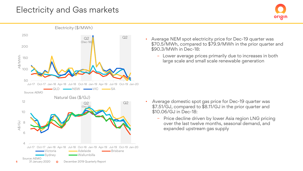#### Electricity and Gas markets



Average NEM spot electricity price for Dec-19 quarter was \$70.5/MWh, compared to \$79.9/MWh in the prior quarter and \$90.3/MWh in Dec-18:

origin

– Lower average prices primarily due to increases in both large scale and small scale renewable generation

- Average domestic spot gas price for Dec-19 quarter was \$7.51/GJ, compared to \$8.11/GJ in the prior quarter and \$10.06/GJ in Dec-18:
	- Price decline driven by lower Asia region LNG pricing over the last twelve months, seasonal demand, and expanded upstream gas supply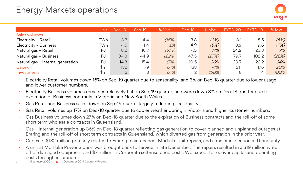### Energy Markets operations

|                                   | Unit | Dec-19 | $Sen-19$ | % Myt | Dec-18 | % Myt | FYTD-20' | FYTD-19 | % Myt |
|-----------------------------------|------|--------|----------|-------|--------|-------|----------|---------|-------|
| Sales volumes                     |      |        |          |       |        |       |          |         |       |
| Electricity - Retail              | TWh  | 3.7    | 4.4      | (16%) | 3.8    | (3%)  | 8.1      | 8.5     | (5%)  |
| Electricity - Business            | TWh  | 4.5    | 4.4      | 2%    | 4.9    | (8%)  | 8.9      | 9.6     | (7%)  |
| Natural gas - Retail              | PJ   | 8.2    | 16.7     | (51%) | 7.0    | 17%   | 24.9     | 23.3    | 7%    |
| Natural gas - Business            | PJ   | 34.8   | 44.9     | (22%) | 47.5   | (27%) | 79.7     | 102.2   | (22%) |
| Natural gas - Internal generation | PJ   | 14.3   | 15.4     | (7%)  | 10.5   | 36%   | 29.7     | 22.2    | 34%   |
| Capex                             | \$m  | 132    | 79       | 67%   | 138    | $-4%$ | 211      | 176     | 20%   |
| Investments                       | \$m  | 5      | 3        | 67%   | 2      | 150%  | 8        | 4       | 100%  |

- Electricity Retail volumes down 16% on Sep-19 quarter due to seasonality, and 3% on Dec-18 quarter due to lower usage and lower customer numbers.
- Electricity Business volumes remained relatively flat on Sep-19 quarter, and were down 8% on Dec-18 quarter due to expiration of Business contracts in Victoria and New South Wales.
- Gas Retail and Business sales down on Sep-19 quarter largely reflecting seasonality.
- Gas Retail volumes up 17% on Dec-18 quarter due to cooler weather during in Victoria and higher customer numbers.
- Gas Business volumes down 27% on Dec-18 quarter due to the expiration of Business contracts and the roll-off of some short term wholesale contracts in Queensland.
- Gas Internal generation up 36% on Dec-18 quarter reflecting gas generation to cover planned and unplanned outages at Eraring and the roll-off of short term contracts in Queensland, which diverted gas from generation in the prior year.
- Capex of \$132 million primarily related to Eraring maintenance, Mortlake unit repairs, and a major inspection at Uranquinty.
- A unit at Mortlake Power Station was brought back to service in late December. The repairs resulted in a \$19 million write off of damaged equipment and \$7 million in Corporate self-insurance costs. We expect to recover capital and operating costs through insurance
- **7** 31 January 2020 **O** December 2019 Quarterly Report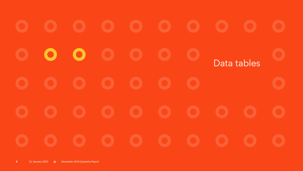$\bullet$ D. Data tables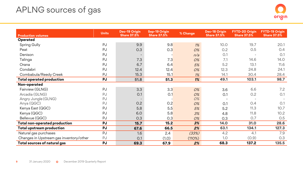## APLNG sources of gas

| <b>Production volumes</b>               | <b>Units</b> | Dec-19 Origin<br><b>Share 37.5%</b> | <b>Sep-19 Origin</b><br><b>Share 37.5%</b> | % Change | Dec-18 Origin<br><b>Share 37.5%</b> | FYTD-20 Origin<br><b>Share 37.5%</b> | FYTD-19 Origin<br><b>Share 37.5%</b> |
|-----------------------------------------|--------------|-------------------------------------|--------------------------------------------|----------|-------------------------------------|--------------------------------------|--------------------------------------|
| Operated                                |              |                                     |                                            |          |                                     |                                      |                                      |
| Spring Gully                            | PJ           | 9.9                                 | 9.8                                        | 1%       | 10.0                                | 19.7                                 | 20.1                                 |
| Peat                                    | PJ           | 0.3                                 | 0.3                                        | 0%       | 0.2                                 | 0.5                                  | O.4                                  |
| Denison                                 | PJ           |                                     |                                            | n/a      | O.1                                 |                                      | O.1                                  |
| Talinga                                 | PJ           | 7.3                                 | 7.3                                        | 0%       | 7.1                                 | 14.6                                 | 14.0                                 |
| Orana                                   | PJ           | 6.7                                 | 6.4                                        | 5%       | 5.2                                 | 13.1                                 | 11.6                                 |
| Condabri                                | PJ           | 12.4                                | 12.4                                       | 0%       | 12.3                                | 24.8                                 | 24.1                                 |
| Combabula/Reedy Creek                   | PJ           | 15.3                                | 15.1                                       | $1\%$    | 14.1                                | 30.4                                 | 28.4                                 |
| <b>Total operated production</b>        | PJ           | 51.8                                | 51.3                                       | 1%       | 49.1                                | 103.1                                | 98.7                                 |
| Non-operated                            |              |                                     |                                            |          |                                     |                                      |                                      |
| Fairview (GLNG)                         | PJ           | 3.3                                 | 3.3                                        | 0%       | 3.6                                 | 6.6                                  | 7.2                                  |
| Arcadia (GLNG)                          | PJ           | O.1                                 | 0.1                                        | 0%       | O.1                                 | 0.2                                  | O.1                                  |
| Angry Jungle (GLNG)                     | PJ           |                                     |                                            | 0%       |                                     |                                      |                                      |
| Anya (QGC)                              | PJ           | 0.2                                 | 0.2                                        | 0%       | O.1                                 | 0.4                                  | O.1                                  |
| Kenya East (QGC)                        | PJ           | 5.8                                 | 5.5                                        | 5%       | 5.2                                 | 11.3                                 | 10.7                                 |
| Kenya (QGC)                             | PJ           | 6.0                                 | 5.8                                        | 3%       | 4.8                                 | 11.8                                 | 10.2                                 |
| Bellevue (QGC)                          | PJ           | 0.3                                 | 0.3                                        | 0%       | 0.3                                 | 0.7                                  | 0.5                                  |
| Total non-operated production           | <b>PJ</b>    | 15.7                                | 15.2                                       | 3%       | 14.0                                | 31.0                                 | 28.6                                 |
| Total upstream production               | PJ           | 67.6                                | 66.5                                       | 2%       | 63.1                                | 134.1                                | 127.3                                |
| Natural gas purchases                   | PJ           | 1.6                                 | 2.4                                        | (33%)    | 4.2                                 | 4.1                                  | 7.9                                  |
| Changes in Upstream gas inventory/other | PJ           | O.1                                 | (1.0)                                      | (110%)   | 1.0                                 | (0.9)                                | 0.3                                  |
| Total sources of natural gas            | PJ           | 69.3                                | 67.9                                       | 2%       | 68.3                                | 137.2                                | 135.5                                |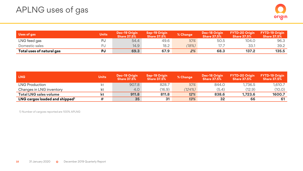| Uses of gas               | <b>Units</b> | Dec-19 Origin<br><b>Share 37.5%</b> | <b>Sep-19 Origin</b><br><b>Share 37.5%</b> | % Change | <b>Dec-18 Origin</b><br><b>Share 37.5%</b> | <b>FYTD-20 Origin</b><br><b>Share 37.5%</b> | <b>FYTD-19 Origin</b><br><b>Share 37.5%</b> |
|---------------------------|--------------|-------------------------------------|--------------------------------------------|----------|--------------------------------------------|---------------------------------------------|---------------------------------------------|
| LNG feed gas              | PJ           | 54.4                                | 49.6                                       | $10\%$   | 50.5                                       | 104.0                                       | 96.3                                        |
| Domestic sales            | ÞU           | 14.9                                | 18.2                                       | (18%)    |                                            | 33.1                                        | 39.2                                        |
| Total uses of natural gas | PJ           | 69.3                                | 67.9                                       | 2%       | 68.3                                       | 137.2                                       | 135.5                                       |

| LNG                                        | <b>Units</b> | Dec-19 Origin<br><b>Share 37.5%</b> | Sep-19 Origin<br><b>Share 37.5%</b> | % Change | Dec-18 Origin<br><b>Share 37.5%</b> | <b>FYTD-20 Origin</b><br><b>Share 37.5%</b> | <b>FYTD-19 Origin</b><br><b>Share 37.5%</b> |
|--------------------------------------------|--------------|-------------------------------------|-------------------------------------|----------|-------------------------------------|---------------------------------------------|---------------------------------------------|
| LNG Production                             |              | 907.8                               | 828.7                               | 10%      | 844.0                               | 1.736.5                                     | 1.610.7                                     |
| Changes in LNG inventory                   |              | 4.0                                 | (16.9)                              | (124%)   | (5.4)                               | (12.9)                                      | (10.0)                                      |
| <b>Total LNG sales volume</b>              |              | 911.8                               | 811.8                               | 12%      | 838.6                               | 1.723.6                                     | 1600.7                                      |
| LNG cargos loaded and shipped <sup>1</sup> |              | 35                                  | 31                                  | 13%      | 32                                  | 66                                          | 61                                          |

1) Number of cargoes reported are 100% APLNG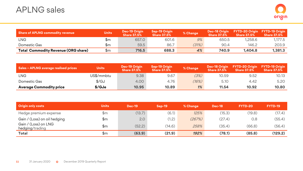| Share of APLNG commodity revenue           | <b>Units</b> | Dec-19 Origin<br><b>Share 37.5%</b> | Sep-19 Origin<br><b>Share 37.5%</b> | % Change | <b>Dec-18 Origin</b><br><b>Share 37.5%</b> | FYTD-20 Origin FYTD-19 Origin<br><b>Share 37.5%</b> | Share 37.5% |
|--------------------------------------------|--------------|-------------------------------------|-------------------------------------|----------|--------------------------------------------|-----------------------------------------------------|-------------|
| LNG                                        | \$m          | 657.0                               | 601.6                               | 9%       | 650.5                                      | 1,258.6                                             | 1,177.5     |
| Domestic Gas                               | \$m          | 59.5                                | 86.7                                | (31%)    | 90.4                                       | 146.2                                               | 203.9       |
| <b>Total Commodity Revenue (ORG share)</b> | \$m          | 716.5                               | 688.3                               | 4%       | 740.9                                      | 1.404.8                                             | 1.381.3     |

| Sales - APLNG average realised prices | <b>Units</b> | Dec-19 Origin<br><b>Share 37.5%</b> | Sep-19 Origin<br><b>Share 37.5%</b> | % Change | <b>Dec-18 Origin</b><br><b>Share 37.5%</b> | <b>FYTD-20 Origin</b><br><b>Share 37.5%</b> | <b>FYTD-19 Origin</b><br><b>Share 37.5%</b> |
|---------------------------------------|--------------|-------------------------------------|-------------------------------------|----------|--------------------------------------------|---------------------------------------------|---------------------------------------------|
| LNG                                   | US\$/mmbtu   | 9.38                                | 9.67                                | (3%)     | 10.59                                      | 9.52                                        | 10.13                                       |
| Domestic Gas                          | \$/GJ        | 4.00                                | 4.76                                | (16%)    | 5.10                                       | 4.42                                        | 5.20                                        |
| <b>Average Commodity price</b>        | \$/GJe       | 10.95                               | 10.89                               | 1%       | 11.54                                      | 10.92                                       | 10.80                                       |

| <b>Origin only costs</b>                | <b>Units</b> | <b>Dec-19</b> | <b>Sep-19</b> | % Change | <b>Dec-18</b> | FYTD-20 | FYTD-19 |
|-----------------------------------------|--------------|---------------|---------------|----------|---------------|---------|---------|
| Hedge premium expense                   | \$m          | (13.7)        | (6.1)         | 125%     | (15.3)        | (19.8)  | (17.4)  |
| Gain / (Loss) on oil hedging            | \$m          | 2.0           | (1.2)         | (267%)   | (27.4)        | 0.8     | (55.4)  |
| Gain / (Loss) on LNG<br>hedging/trading | \$m          | (52.2)        | (14.6)        | 258%     | (35.4)        | (66.8)  | (56.4)  |
| Total                                   | \$m          | (63.9)        | (21.9)        | 192%     | (78.1)        | (85.8)  | (129.2) |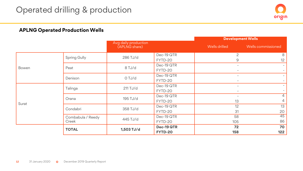

#### **APLNG Operated Production Wells**

|       |                            |                                       |                       | <b>Development Wells</b>                             |                    |
|-------|----------------------------|---------------------------------------|-----------------------|------------------------------------------------------|--------------------|
|       |                            | Avg daily production<br>(APLNG share) |                       | Wells drilled                                        | Wells commissioned |
|       | <b>Spring Gully</b>        | 286 TJ/d                              | Dec-19 QTR<br>FYTD-20 | 2<br>9                                               | 8<br>12            |
| Bowen | Peat                       | 8 TJ/d                                | Dec-19 QTR<br>FYTD-20 | $\overline{\phantom{a}}$                             |                    |
|       | Denison                    | O TJ/d                                | Dec-19 QTR<br>FYTD-20 | $\overline{\phantom{0}}$                             |                    |
|       | Talinga                    | $211$ TJ/d                            | Dec-19 QTR<br>FYTD-20 | $\overline{\phantom{a}}$<br>$\overline{\phantom{0}}$ |                    |
| Surat | Orana                      | 195 TJ/d                              | Dec-19 QTR<br>FYTD-20 | 13                                                   | 4<br>4             |
|       | Condabri                   | 358 TJ/d                              | Dec-19 QTR<br>FYTD-20 | 12<br>31                                             | 13<br>20           |
|       | Combabula / Reedy<br>Creek | 445 TJ/d                              | Dec-19 QTR<br>FYTD-20 | 58<br>105                                            | 45<br>86           |
|       | <b>TOTAL</b>               | 1,503 TJ/d                            | Dec-19 QTR<br>FYTD-20 | 72<br>158                                            | 70<br>122          |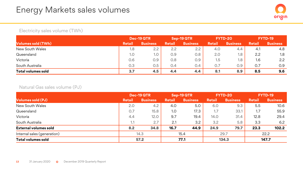

#### Electricity sales volume (TWh)

|                    | Dec-19 QTR    |                  | Sep-19 QTR    |                 | <b>FYTD-20</b> |                 | <b>FYTD-19</b> |                 |
|--------------------|---------------|------------------|---------------|-----------------|----------------|-----------------|----------------|-----------------|
| Volumes sold (TWh) | <b>Retail</b> | <b>Business</b>  | <b>Retail</b> | <b>Business</b> | <b>Retail</b>  | <b>Business</b> | <b>Retail</b>  | <b>Business</b> |
| New South Wales    | 1.8           | 2.2              | 2.2           | 2.2             | 4.0            | 4.4             | 4. .           | 4.8             |
| Queensland         | 1.0           | 1.0 <sub>2</sub> | O.9           | 0.8             | 2.0            | 1.8             | 2.2            | 1.8             |
| Victoria           | 0.6           | 0.9              | 0.8           | O.9             | 1.5            | $1.8^{\circ}$   | 1.6            | $2.2^{\circ}$   |
| South Australia    | 0.3           | 0.5              | 0.4           | 0.4             | 0.7            | O.9             | 0.7            | 0.9             |
| Total volumes sold | 3.7           | 4.5              | 4.4           | 4.4             | 8.1            | 8.9             | 8.5            | 9.6             |

#### Natural Gas sales volume (PJ)

|                             | Dec-19 QTR    |                 | Sep-19 QTR |                 | FYTD-20       |                 | FYTD-19       |                 |
|-----------------------------|---------------|-----------------|------------|-----------------|---------------|-----------------|---------------|-----------------|
| <b>Volumes sold (PJ)</b>    | <b>Retail</b> | <b>Business</b> | Retail     | <b>Business</b> | <b>Retail</b> | <b>Business</b> | <b>Retail</b> | <b>Business</b> |
| New South Wales             | 2.0           | 4.2             | 4.0        | 5.0             | 6.0           | 9.3             | 5.5           | 10.6            |
| Queensland                  | 0.7           | 15.8            | 1.0        | 17.3            | 1.7           | 33.1            | 1.7           | 55.9            |
| Victoria                    | 4.4           | 12.0            | 9.7        | 19.4            | 14.0          | 31.4            | 12.8          | 29.4            |
| South Australia             | 1.1           | 2.7             | 2.1        | 3.2             | 3.2           | 5.8             | 3.3           | 6.2             |
| External volumes sold       | 8.2           | 34.8            | 16.7       | 44.9            | 24.9          | 79.7            | 23.3          | 102.2           |
| Internal sales (generation) | 14.3          |                 | 15.4       |                 | 29.7          |                 | 22.2          |                 |
| Total volumes sold          | 57.2          |                 | 77.1       |                 | 134.3         |                 | 147.7         |                 |